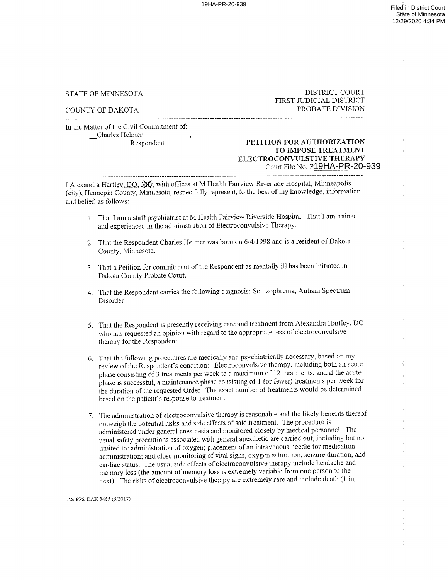## STATE OF MINNESOTA DISTRICT COURT FIRST JUDICIAL DISTRICT COUNTY OF DAKOTA PROBATE DIVISION

In the Matter of the Civil Connnitment of:

Charles Helmer

## ourt File No. P<u>19HA-PR-20</u>-939 Respondent PETITION FOR AUTHORIZATION FOR AUTHORIZATION ELECTROCONVULSTIVE THERAPY

I Alexandra Hartley, DO, NO, with offices at M Health Fairview Riverside Hospital, Minneapolis (city), Hennepin County, Minnesota, respectfully represent, to the best of my knowledge, information and belief, as follows:

- 1. That I am a staff psychiatrist at M Health Fairview Riverside Hospital. That I am trained and experienced in the administration of Electroconvulsive Therapy.
- 2. That the Respondent Charles Helmer was born on 6/4/1998 and is a resident of Dakota County, Minnesota.
- 3. That a Petition for commitment of the Respondent as mentally ill has been initiated in Dakota County Probate Court.
- 4. That the Respondent carries the following diagnosis: Schizophrenia. Autism Spectrum Disorder
- 5. That the Respondent is presently receiving care and treatment from Alexandra Hartley, DO who has requested an opinion with regard to the appropriateness of electroconvulsive therapy for the Respondent.
- 6. That the following procedures are medically and psychiatrically necessary, based on my review of the Respondent's condition: Electroconvulsive therapy, including both an acute phase consisting of 3 treatments per week to a maximum of 12 treatments, and if the acute phase is successful, a maintenance phase consisting of 1 (or fewer) treatments per week for the duration of the requested Order. The exact number of treatments would be determined based on the patient's response to treatment.
- 7. The administration of electroconvulsive therapy is reasonable and the likely benefits thereof outweigh the potential risks and side effects of said treatment. The procedure is administered under general anesthesia and monitored closely by medical personnel. The usual safety precautions associated with general anesthetic are carried out. including but not limited to: administration of oxygen; placement of an intravenous needle for medication administration; and close monitoring of vital signs, oxygen saturation, seizure duration, and cardiac status. The usual side effects of electroconvulsive therapy include headache and memory loss (the amount of memory loss is extremely variable from one person to the next). The risks of electroconvulsive therapy are extremely rare and include death (I in

AS-PPS-DAK 3485 (5/2017)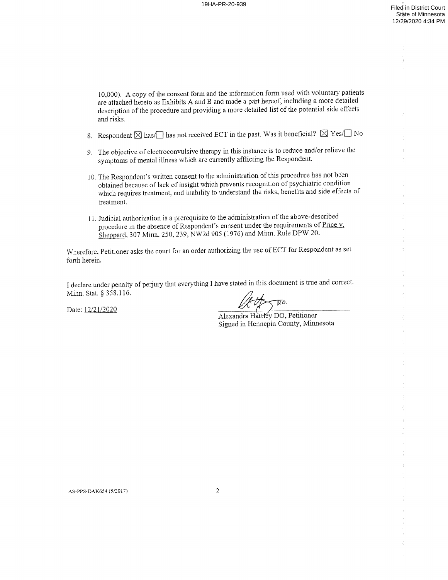10,000). A copy of the consent form and the information form used with voluntary patients are attached hereto as Exhibits A and B and made a part hereof, including a more detailed description of the procedure and providing a more detailed list of the potential side effects and risks.

- 8. Respondent  $\boxtimes$  has/ $\Box$  has not received ECT in the past. Was it beneficial?  $\boxtimes$  Yes/ $\Box$  No
- The objective of electroconvulsive therapy in this instance is to reduce and/or relieve the symptoms of mental illness which are currently afflicting the Respondent.
- l0. The Respondent's written consent to the administration of this procedure has not been obtained because of lack of insight which prevents recognition of psychiatric condition which requires treatment, and inability to understand the risks, benefits and side effects of treatment.
- ll. Judicial authorization is prerequisite to the administration of the above—described procedure in the absence of Respondent's consent ander the requirements of  $\frac{1}{21}$ .<br>Sheppard, 307 Minn. 250, 239, NW2d 905 (1976) and Minn. Rule DPW 20. in the absence of Respondent's consent under the requirements of Price  $\bf{v}$ .

Wherefore. Petitioner asks the court for an order authorizing the use of EC'T for Respondent as set forth herein.

declare under penalty of perjury that everything I have stated in this document is true and correct. Minn. Stat. § 358.116.

Date: 12/21/2020

 $\overline{p}$ o.

Alexandra Hartley DO, Petitioner Signed in Hennepin County, Minnesota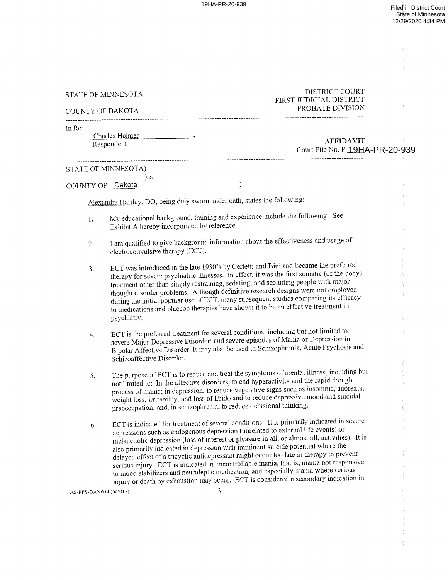| STATE OF MINNESOTA<br>COUNTY OF DAKOTA |                                                                                                                                                                                                                                                                                                                                                                                                                                                  | DISTRICT COURT<br>FIRST JUDICIAL DISTRICT<br>PROBATE DIVISION                                                                                                                                                                                                                                                                                                                                                                                                                                                                                                                                                                                                                                                                                |
|----------------------------------------|--------------------------------------------------------------------------------------------------------------------------------------------------------------------------------------------------------------------------------------------------------------------------------------------------------------------------------------------------------------------------------------------------------------------------------------------------|----------------------------------------------------------------------------------------------------------------------------------------------------------------------------------------------------------------------------------------------------------------------------------------------------------------------------------------------------------------------------------------------------------------------------------------------------------------------------------------------------------------------------------------------------------------------------------------------------------------------------------------------------------------------------------------------------------------------------------------------|
| In Re:                                 | Charles Helmer (1997)<br>Respondent                                                                                                                                                                                                                                                                                                                                                                                                              | <b>AFFIDAVIT</b><br>Court File No. P 19HA-PR-20-939                                                                                                                                                                                                                                                                                                                                                                                                                                                                                                                                                                                                                                                                                          |
|                                        | STATE OF MINNESOTA)                                                                                                                                                                                                                                                                                                                                                                                                                              |                                                                                                                                                                                                                                                                                                                                                                                                                                                                                                                                                                                                                                                                                                                                              |
| COUNTY OF Dakota                       | )SS                                                                                                                                                                                                                                                                                                                                                                                                                                              | $\mathcal{E}$                                                                                                                                                                                                                                                                                                                                                                                                                                                                                                                                                                                                                                                                                                                                |
|                                        |                                                                                                                                                                                                                                                                                                                                                                                                                                                  | Alexandra Hartley, DO, being duly sworn under oath, states the following:                                                                                                                                                                                                                                                                                                                                                                                                                                                                                                                                                                                                                                                                    |
| $\mathbf{1}$ .                         | Exhibit A hereby incorporated by reference.                                                                                                                                                                                                                                                                                                                                                                                                      | My educational background, training and experience include the following: See                                                                                                                                                                                                                                                                                                                                                                                                                                                                                                                                                                                                                                                                |
| 2.                                     | electroconvulsive therapy (ECT).                                                                                                                                                                                                                                                                                                                                                                                                                 | I am qualified to give background information about the effectiveness and usage of                                                                                                                                                                                                                                                                                                                                                                                                                                                                                                                                                                                                                                                           |
| 3.                                     | psychiatry.                                                                                                                                                                                                                                                                                                                                                                                                                                      | ECT was introduced in the late 1930's by Cerletti and Bini and became the preferred<br>therapy for severe psychiatric illnesses. In effect, it was the first somatic (of the body)<br>treatment other than simply restraining, sedating, and secluding people with major<br>thought disorder problems. Although definitive research designs were not employed<br>during the initial popular use of ECT, many subsequent studies comparing its efficacy<br>to medications and placebo therapies have shown it to be an effective treatment in                                                                                                                                                                                                 |
| 4.                                     | Schizoaffective Disorder.                                                                                                                                                                                                                                                                                                                                                                                                                        | ECT is the preferred treatment for several conditions, including but not limited to:<br>severe Major Depressive Disorder; and severe episodes of Mania or Depression in<br>Bipolar Affective Disorder. It may also be used in Schizophrenia, Acute Psychosis and                                                                                                                                                                                                                                                                                                                                                                                                                                                                             |
| 5.                                     | The purpose of ECT is to reduce and treat the symptoms of mental illness, including but<br>not limited to: In the affective disorders, to end hyperactivity and the rapid thought<br>process of mania; in depression, to reduce vegetative signs such as insomnia, anorexia,<br>weight loss, irritability, and loss of libido and to reduce depressive mood and suicidal<br>preoccupation; and, in schizophrenia, to reduce delusional thinking. |                                                                                                                                                                                                                                                                                                                                                                                                                                                                                                                                                                                                                                                                                                                                              |
| 6.<br>AS-PPS-DAK654 (5/2017)           |                                                                                                                                                                                                                                                                                                                                                                                                                                                  | ECT is indicated for treatment of several conditions. It is primarily indicated in severe<br>depressions such as endogenous depression (unrelated to external life events) or<br>melancholic depression (loss of interest or pleasure in all, or almost all, activities). It is<br>also primarily indicated in depression with imminent suicide potential where the<br>delayed effect of a tricyclic antidepressant might occur too late in therapy to prevent<br>serious injury. ECT is indicated in uncontrollable mania, that is, mania not responsive<br>to mood stabilizers and neuroleptic medication, and especially mania where serious<br>injury or death by exhaustion may occur. ECT is considered a secondary indication in<br>3 |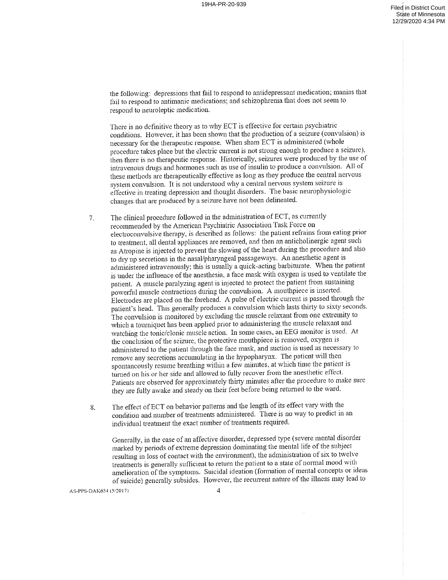the following: depressions that fail to respond to antidepressant medication; manias that fail to respond to antimanic medications; and schizophrenia that does not seem to respond to neuroleptic medication

There is no definitive theory as to why ECT is effective for certain psychiatric conditions. However, it has been shown that the production of seizure (convulsion) is necessary for the therapeutic response. When sham ECT is administered {whole procedure takes place but the electric current is not strong enough to produce a seizure), then there is no therapeutic response. Historically, seizures were produced by the use of intravenous drugs and hormones such as use of insulin to produce a convulsion. All of these methods are therapeutically effective as long as they produce the central nervous system convulsion. It is not understood why a central nervous system seizure is effective in treating depression and thought disorders. The basic neurophysiologic changes that are produced by seizure have not been delineated.

The clinical procedure followed in the administration of ECT, as currently  $7.$ recommended by the American Psychiatric Association Task Force on electroconvulsive therapy, is described as follows: the patient refrains from eating prior to treatment, all dental appliances are removed, and then an anticholinergic agent such as Atropine is injected to prevent the slowing of the heart during the procedure and also to dry up secretions in the nasal/pharyngeal passageways. An anesthetic agent is administered intravenously; this is usually a quick-acting barbiturate. When the patient is under the influence of the anesthesia, a face mask with oxygen is used to ventilate the patient. A muscle paralyzing agent is injected to protect the patient from sustaining powerful muscle contractions during the convulsion. A mouthpiece is inserted. Electrodes are placed on the forehead. A pulse of electric current is passed through the patient's head. This generally produces a convulsion which lasts thirty to sixty seconds. The convulsion is monitored by excluding the muscle relaxant from one extremity to which a tourniquet has been applied prior to administering the muscle relaxant and watching the tonic/clonic muscle action. In some cases, an EEG monitor is used. At the conclusion of the seizure, the protective mouthpiece is removed, oxygen is administered to the patient through the face mask, and suction is used as necessary to remove any secretions accumulating in the hypopharynx. The patient will then spontaneously resume breathing within a few minutes, at which time the patient is turned on his or her side and allowed to fully recover from the anesthetic effect. Patients are observed for approximately thirty minutes after the procedure to make sure they are fully awake and steady on their feet before being returned to the ward.

The effect of ECT on behavior patterns and the length of its effect vary with the 8. condition and number of treatments administered. There is no way to predict in an individual treatment the exact number of treatments required.

Generally, in the case of an affective disorder, depressed type (severe mental disorder marked by periods of extreme depression dominating the mental life of the subject resulting in loss of contact with the environment), the administration of six to twelve treatments is generally sufficient to return the patient to a state of normal mood with amelioration of the symptoms. Suicidal ideation (formation of mental concepts or ideas of suicide) generally subsides. However, the recurrent nature of the illness may lead to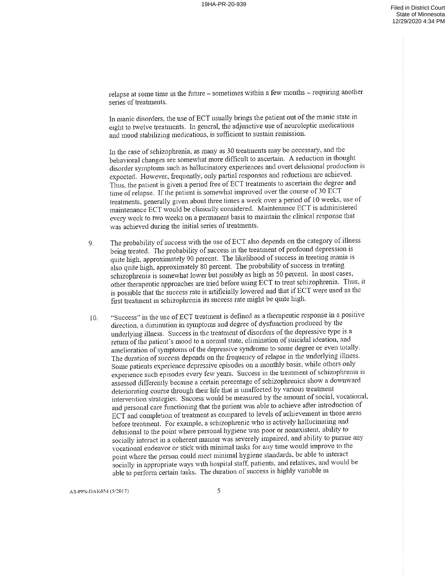relapse at some time in the future – sometimes within a few months – requiring another series of treatments.

In manic disorders, the use of ECT usually brings the patient out of the manic state in eight to twelve treatments. In general, the adjunctive use of neuroleptic medications and mood stabilizing medications, is sufficient to sustain remission.

In the case of schizophrenia, as many as <sup>30</sup> treatments may be necessary. and the behavioral changes are somewhat more difficult to ascertain. A reduction in thought disorder symptoms such as hallucinatory experiences and overt delusional production is expected. However. frequently. only partial responses and reductions are achieved. Thus, the patient is given a period free of ECT treatments to ascertain the degree and time of relapse. If the patient is somewhat improved over the course of 30 ECT treatments, generally given about three times a week over a period of 10 weeks, use of maintenance ECT would be clinically considered. Maintenance ECT is administered every week to two weeks on a permanent basis to maintain the clinical response that was achieved during the initial series of treatments.

- 9. The probability of success with the use of ECT also depends on the category of illness being treated. The probability of success in the treatment of profound depression is quite high, approximately <sup>90</sup> percent. The likelihood of success in treating mania is also quite high. approximately <sup>80</sup> percent. The probability of success in treating schizophrenia is somewhat lower but possibly as high as 50 percent. In most cases, other therapeutic approaches are tried before using ECT to treat schizophrenia. Thus, it is possible that the success rate is artificially lowered and that if ECT were used as the first treatment in schizophrenia its success rate might be quite high.
- 10. "Success" in the use of ECT treatment is defined as a therapeutic response in a positive direction, a diminution in symptoms and degree of dysfunction produced by the underlying illness. Success in the treatment of disorders of the depressive type is return of the patient's mood to normal state. elimination of suicidal ideation, and amelioration of symptoms of the depressive syndrome to some degree or even totalty. The duration of success depends on the frequency of relapse in the underlying ilhiess. Some patients experience depressive episodes on a monthly basis, while others only experience such episodes every lew years. Success in the dominant of semistrymerical assessed differently because a certain percentage of schizophrenics show a downward such episodes every few years. Success in the treatment of schizophrenia is deteriorating course through their life that is unaffected by various treatment intervention strategies. Success would be measured by the amount of social, vocational, and personal care functioning that the patient was able to achieve after introduction of ECT and completion of treatment as compared. to levels of achievement in those areas before treatment. For example, a schizophrenic who is actively hallucinating and delusional to the point where personal hygiene was poor or nonexistent. ability to socially interact in a coherent manner was severely impaired, and ability to pursue any vocational endeavor or stick with minimal tasks for any time would improve to the point where the person could meet minimal hygiene standards. be able to interact socially in appropriate ways with hospital staff. patients, and relatives, and would be able to perform certain tasks. The duration of success is highly variable in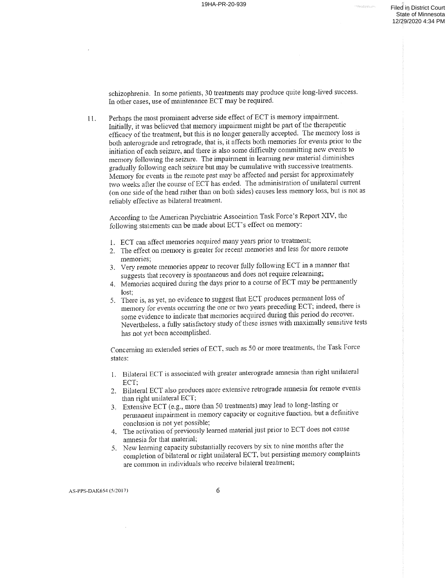schizophrenia. In some patients, 30 treatments may produce quite long-lived success. In other cases, use of maintenance ECT may be required.

ll. Perhaps the most prominent adverse side effect of ECT is memory impairment. Initially, it was believed that memory impairment might be part of the therapeutic efficacy of the treatment, but this is no longer generally accepted. The memory loss is both anterograde and retrograde, that is, it affects both memories for events prior to the initiation of each seizure, and there is also some difficulty committing new events to memory following the seizure. The impairment in learning new material diminishes gradually following each seizure but may be cumulative with successive treatments. Memory for events in the remote past may be affected and persist for approximately two weeks after the course of ECT has ended. The administration of unilateral current (on one side of the head rather than on both sides) causes less memory loss, but is not as reliably effective as bilateral treatment.

According to the American Psychiatric Association Task Force's Report XIV, the following statements can be made about ECT'S effect on memory:

- 1. ECT can affect memories acquired many years prior to treatment;
- he effect on memory is greater for recent memories and less for more remote memories;
- 3. Very remote memories appear to recover fully following ECT in a manner that suggests in that recovery is spontaneous and does not require relearning;
- 4. Memories acquired during the days prior to course of ECT may be permanently lost;
- 5. There is, as yet, no evidence to suggest that ECT produces permanent loss of memory for events occurring the one or two years preceding ECT, indeed, there is some evidence to indicate that memories acquired during this period do recover. Nevertheless, a fully satisfactory study of these issues with maximally sensitive tests has not yet been accomplished.

Concerning an extended series of ECT, such as 50 or more treatments, the Task Force states:

- I. Bilateral ECT is associated with greater anterograde amnesia dian right unilateral ECT;
- 2. Bilateral ECT also produces more extensive retrograde amnesia for remote events than right unilateral ECT;
- 3. Extensive ECT (e.g., more than 50 treatments) may lead to long-lasting or permanent impairment in memory capacity or cognitive function, but a definitive conclusion is not yet possible:
- 4. The activation of previously learned material just prior to ECT does not cause amnesia for that material;
- New learning capacity substantially recovers by six to nine months after the completion of bilateral or right unilateral ECT, but persisting memory complaints are common in individuals who receive bilateral treatment;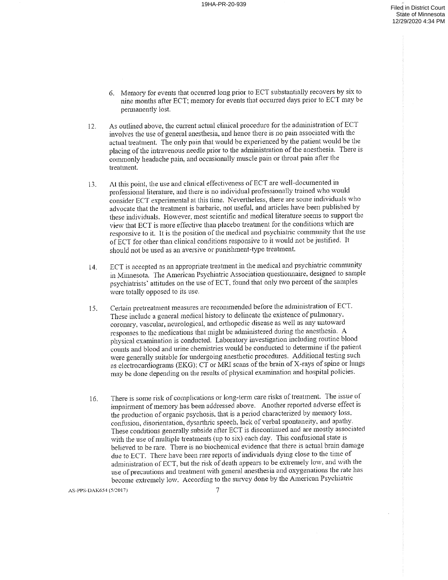- 6. Memory for events that occurred long prior to ECT substantially recovers by six to nine months after ECT; memory for events that occurred days prior to ECT may be permanently lost.
- 12. As outlined above, the current actual clinical procedure for the administration ofECT involves the use of general anesthesia, and hence there is no pain associated with the actual treatment. The only pain that would be experienced by the patient would be the placing of the intravenous needle prior to the administration of the anesthesia. There is commonly headache pain, and occasionally muscle pain or throat pain after the treatment.
- At this point, the use and clinical effectiveness of ECT are well-documented in  $13.$ professional literature, and there is no individual professionally trained who would consider ECT experimental at this time. Nevertheless, there are some individuals who advocate that the treatment is barbaric, not useful. and articles have been published by these individuals. However, most scientific and medical literature seems to support the view that ECT is more effective than placebo treatment for the conditions which are responsive to it. It is the position of the medical and psychiatric community that the use of ECT for other than clinical conditions responsive to it would not be justified. It should not be used as an aversive or punishment—type treatment.
- 14. ECT is accepted as an appropriate treatment in the medical and psychiatric community in Minnesota. The American Psychiatric Association questionnaire. designed to sample psychiatrists' attitudes on the use of ECT, found that only two percent of the samples were totally opposed to its use.
- 15. Certain pretreatment measures are recommended before the administration of ECT. These include a general medical history to delineate the existence of pulmonary. coronary, vascular, neurological, and orthopedic disease as well as any untoward responses to the medications that might be administered during the anesthesia. physical examination is conducted. Laboratory investigation including routine blood counts and blood and urine chemistries would be conducted to determine if the patient. were generally suitable for undergoing anesthetic procedures. Additional testing such as electrocardiograms (EKG); CT or MRI scans of the brain of X-rays of spine or lungs may be done depending on the results of physical examination and hospital policies.
- 16. There is some risk of complications or long-term care risks of treatment. The issue of impairment of memory has been addressed above. Another reported adverse effect is the production of organic psychosis, that is a period characterized by memory loss, confusion, disorientation, dysarthric speech, lack of verbal spontaneity, and apathy. These conditions generally subside after ECT is discontinued and are mostly associated with the use of multiple treatments (up to six) each day. This confusional state is believed to be rare. There is no biochemical evidence that there is actual brain damage due to ECT. There have been rare reports of individuals dying close to the time of administration of ECT, but the risk of death appears to be extremely low. and with the use of precautions and treatment with general anesthesia and oxygenations the rate has become extremely low. According to the survey done by the American Psychiatric